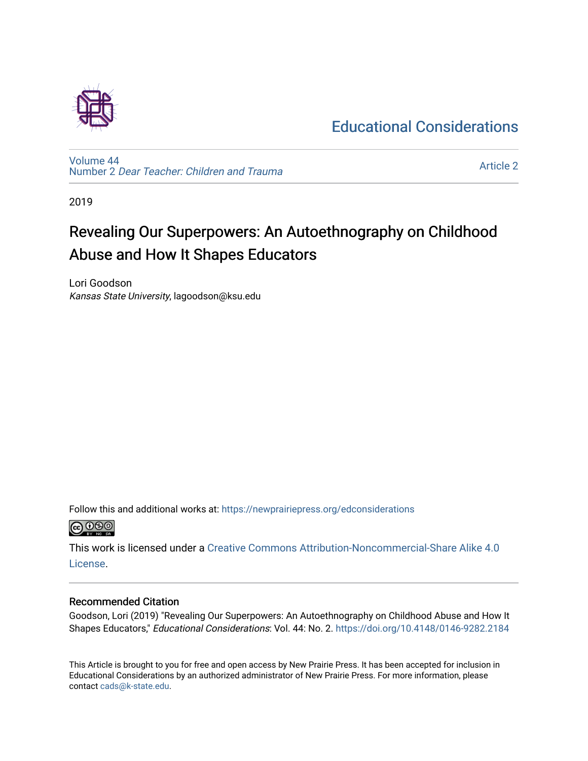### [Educational Considerations](https://newprairiepress.org/edconsiderations)

[Volume 44](https://newprairiepress.org/edconsiderations/vol44) Number 2 [Dear Teacher: Children and Trauma](https://newprairiepress.org/edconsiderations/vol44/iss2)

[Article 2](https://newprairiepress.org/edconsiderations/vol44/iss2/2) 

2019

## Revealing Our Superpowers: An Autoethnography on Childhood Abuse and How It Shapes Educators

Lori Goodson Kansas State University, lagoodson@ksu.edu

Follow this and additional works at: [https://newprairiepress.org/edconsiderations](https://newprairiepress.org/edconsiderations?utm_source=newprairiepress.org%2Fedconsiderations%2Fvol44%2Fiss2%2F2&utm_medium=PDF&utm_campaign=PDFCoverPages)  <u>@@@</u>

This work is licensed under a [Creative Commons Attribution-Noncommercial-Share Alike 4.0](https://creativecommons.org/licenses/by-nc-sa/4.0/) [License.](https://creativecommons.org/licenses/by-nc-sa/4.0/)

#### Recommended Citation

Goodson, Lori (2019) "Revealing Our Superpowers: An Autoethnography on Childhood Abuse and How It Shapes Educators," Educational Considerations: Vol. 44: No. 2. <https://doi.org/10.4148/0146-9282.2184>

This Article is brought to you for free and open access by New Prairie Press. It has been accepted for inclusion in Educational Considerations by an authorized administrator of New Prairie Press. For more information, please contact [cads@k-state.edu](mailto:cads@k-state.edu).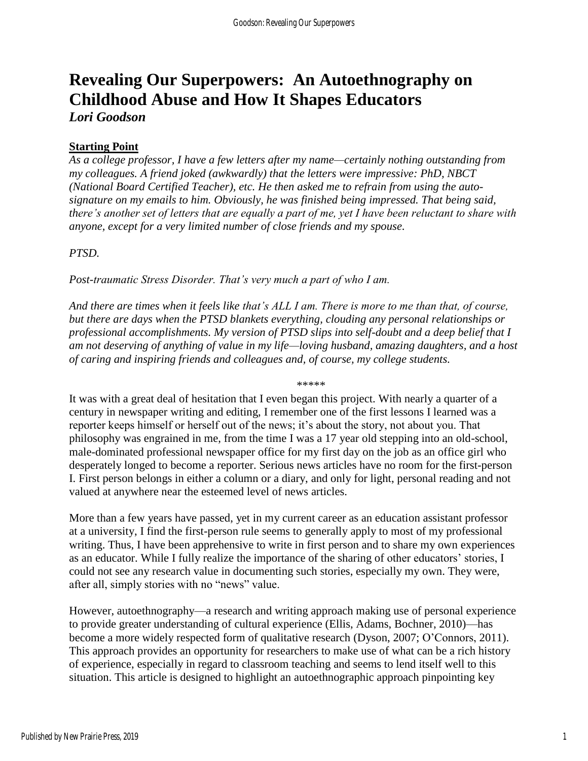# **Revealing Our Superpowers: An Autoethnography on Childhood Abuse and How It Shapes Educators**

*Lori Goodson*

#### **Starting Point**

*As a college professor, I have a few letters after my name—certainly nothing outstanding from my colleagues. A friend joked (awkwardly) that the letters were impressive: PhD, NBCT (National Board Certified Teacher), etc. He then asked me to refrain from using the autosignature on my emails to him. Obviously, he was finished being impressed. That being said, there's another set of letters that are equally a part of me, yet I have been reluctant to share with anyone, except for a very limited number of close friends and my spouse.*

#### *PTSD.*

*Post-traumatic Stress Disorder. That's very much a part of who I am.*

*And there are times when it feels like that's ALL I am. There is more to me than that, of course, but there are days when the PTSD blankets everything, clouding any personal relationships or professional accomplishments. My version of PTSD slips into self-doubt and a deep belief that I am not deserving of anything of value in my life—loving husband, amazing daughters, and a host of caring and inspiring friends and colleagues and, of course, my college students.*

\*\*\*\*\*

It was with a great deal of hesitation that I even began this project. With nearly a quarter of a century in newspaper writing and editing, I remember one of the first lessons I learned was a reporter keeps himself or herself out of the news; it's about the story, not about you. That philosophy was engrained in me, from the time I was a 17 year old stepping into an old-school, male-dominated professional newspaper office for my first day on the job as an office girl who desperately longed to become a reporter. Serious news articles have no room for the first-person I. First person belongs in either a column or a diary, and only for light, personal reading and not valued at anywhere near the esteemed level of news articles.

More than a few years have passed, yet in my current career as an education assistant professor at a university, I find the first-person rule seems to generally apply to most of my professional writing. Thus, I have been apprehensive to write in first person and to share my own experiences as an educator. While I fully realize the importance of the sharing of other educators' stories, I could not see any research value in documenting such stories, especially my own. They were, after all, simply stories with no "news" value.

However, autoethnography—a research and writing approach making use of personal experience to provide greater understanding of cultural experience (Ellis, Adams, Bochner, 2010)—has become a more widely respected form of qualitative research (Dyson, 2007; O'Connors, 2011). This approach provides an opportunity for researchers to make use of what can be a rich history of experience, especially in regard to classroom teaching and seems to lend itself well to this situation. This article is designed to highlight an autoethnographic approach pinpointing key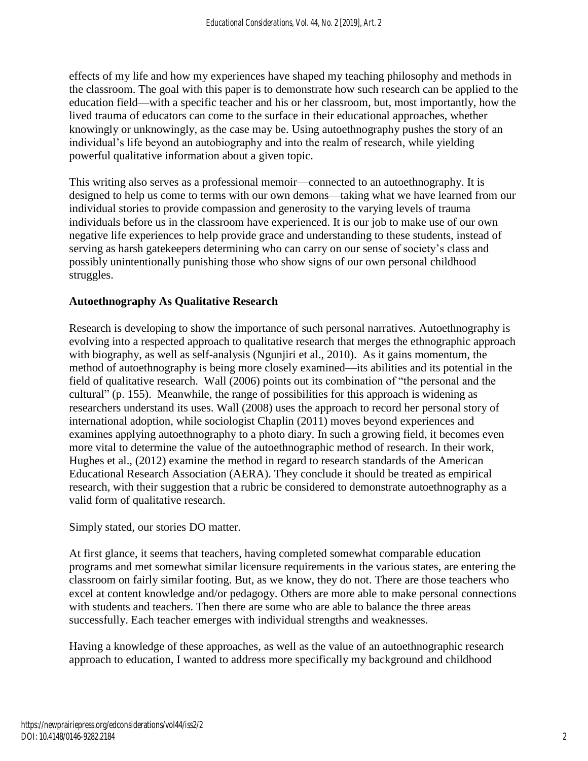effects of my life and how my experiences have shaped my teaching philosophy and methods in the classroom. The goal with this paper is to demonstrate how such research can be applied to the education field—with a specific teacher and his or her classroom, but, most importantly, how the lived trauma of educators can come to the surface in their educational approaches, whether knowingly or unknowingly, as the case may be. Using autoethnography pushes the story of an individual's life beyond an autobiography and into the realm of research, while yielding powerful qualitative information about a given topic.

This writing also serves as a professional memoir—connected to an autoethnography. It is designed to help us come to terms with our own demons—taking what we have learned from our individual stories to provide compassion and generosity to the varying levels of trauma individuals before us in the classroom have experienced. It is our job to make use of our own negative life experiences to help provide grace and understanding to these students, instead of serving as harsh gatekeepers determining who can carry on our sense of society's class and possibly unintentionally punishing those who show signs of our own personal childhood struggles.

#### **Autoethnography As Qualitative Research**

Research is developing to show the importance of such personal narratives. Autoethnography is evolving into a respected approach to qualitative research that merges the ethnographic approach with biography, as well as self-analysis (Ngunjiri et al., 2010). As it gains momentum, the method of autoethnography is being more closely examined—its abilities and its potential in the field of qualitative research. Wall (2006) points out its combination of "the personal and the cultural" (p. 155). Meanwhile, the range of possibilities for this approach is widening as researchers understand its uses. Wall (2008) uses the approach to record her personal story of international adoption, while sociologist Chaplin (2011) moves beyond experiences and examines applying autoethnography to a photo diary. In such a growing field, it becomes even more vital to determine the value of the autoethnographic method of research. In their work, Hughes et al., (2012) examine the method in regard to research standards of the American Educational Research Association (AERA). They conclude it should be treated as empirical research, with their suggestion that a rubric be considered to demonstrate autoethnography as a valid form of qualitative research.

Simply stated, our stories DO matter.

At first glance, it seems that teachers, having completed somewhat comparable education programs and met somewhat similar licensure requirements in the various states, are entering the classroom on fairly similar footing. But, as we know, they do not. There are those teachers who excel at content knowledge and/or pedagogy. Others are more able to make personal connections with students and teachers. Then there are some who are able to balance the three areas successfully. Each teacher emerges with individual strengths and weaknesses.

Having a knowledge of these approaches, as well as the value of an autoethnographic research approach to education, I wanted to address more specifically my background and childhood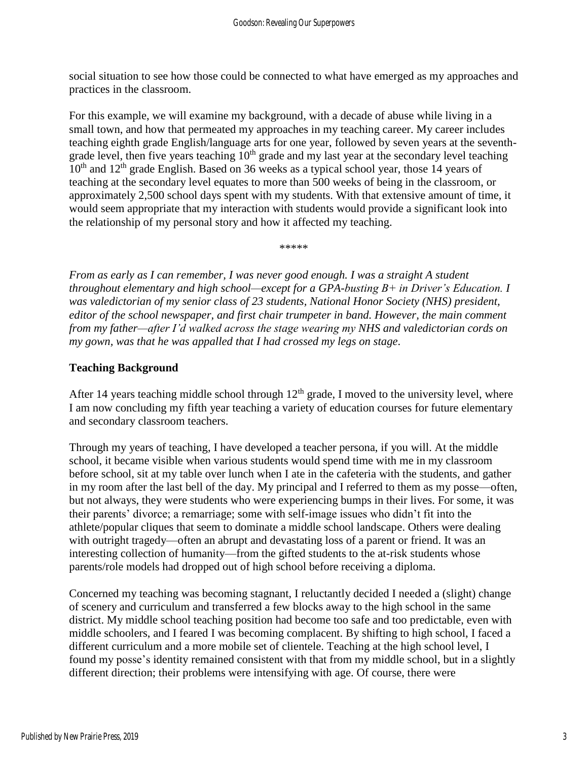social situation to see how those could be connected to what have emerged as my approaches and practices in the classroom.

For this example, we will examine my background, with a decade of abuse while living in a small town, and how that permeated my approaches in my teaching career. My career includes teaching eighth grade English/language arts for one year, followed by seven years at the seventhgrade level, then five years teaching  $10<sup>th</sup>$  grade and my last year at the secondary level teaching  $10<sup>th</sup>$  and  $12<sup>th</sup>$  grade English. Based on 36 weeks as a typical school year, those 14 years of teaching at the secondary level equates to more than 500 weeks of being in the classroom, or approximately 2,500 school days spent with my students. With that extensive amount of time, it would seem appropriate that my interaction with students would provide a significant look into the relationship of my personal story and how it affected my teaching.

*From as early as I can remember, I was never good enough. I was a straight A student throughout elementary and high school—except for a GPA-busting B+ in Driver's Education. I was valedictorian of my senior class of 23 students, National Honor Society (NHS) president, editor of the school newspaper, and first chair trumpeter in band. However, the main comment from my father—after I'd walked across the stage wearing my NHS and valedictorian cords on my gown, was that he was appalled that I had crossed my legs on stage*.

\*\*\*\*\*

#### **Teaching Background**

After 14 years teaching middle school through  $12<sup>th</sup>$  grade, I moved to the university level, where I am now concluding my fifth year teaching a variety of education courses for future elementary and secondary classroom teachers.

Through my years of teaching, I have developed a teacher persona, if you will. At the middle school, it became visible when various students would spend time with me in my classroom before school, sit at my table over lunch when I ate in the cafeteria with the students, and gather in my room after the last bell of the day. My principal and I referred to them as my posse—often, but not always, they were students who were experiencing bumps in their lives. For some, it was their parents' divorce; a remarriage; some with self-image issues who didn't fit into the athlete/popular cliques that seem to dominate a middle school landscape. Others were dealing with outright tragedy—often an abrupt and devastating loss of a parent or friend. It was an interesting collection of humanity—from the gifted students to the at-risk students whose parents/role models had dropped out of high school before receiving a diploma.

Concerned my teaching was becoming stagnant, I reluctantly decided I needed a (slight) change of scenery and curriculum and transferred a few blocks away to the high school in the same district. My middle school teaching position had become too safe and too predictable, even with middle schoolers, and I feared I was becoming complacent. By shifting to high school, I faced a different curriculum and a more mobile set of clientele. Teaching at the high school level, I found my posse's identity remained consistent with that from my middle school, but in a slightly different direction; their problems were intensifying with age. Of course, there were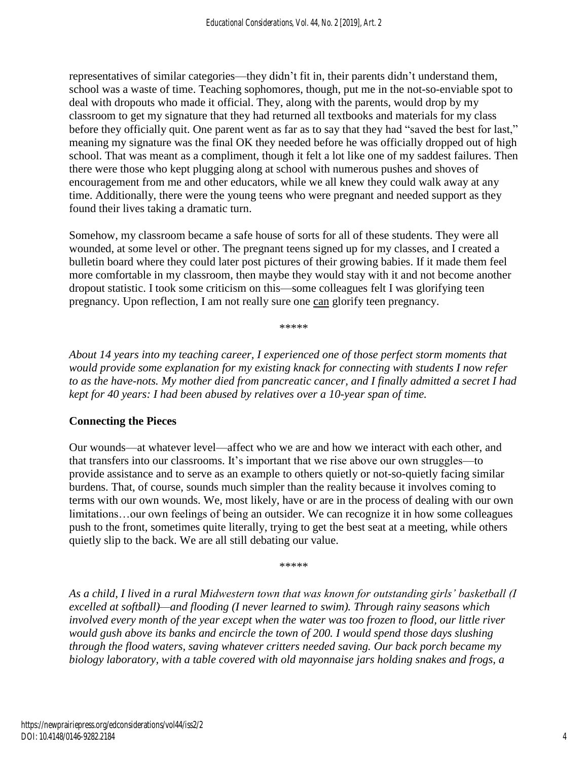representatives of similar categories—they didn't fit in, their parents didn't understand them, school was a waste of time. Teaching sophomores, though, put me in the not-so-enviable spot to deal with dropouts who made it official. They, along with the parents, would drop by my classroom to get my signature that they had returned all textbooks and materials for my class before they officially quit. One parent went as far as to say that they had "saved the best for last," meaning my signature was the final OK they needed before he was officially dropped out of high school. That was meant as a compliment, though it felt a lot like one of my saddest failures. Then there were those who kept plugging along at school with numerous pushes and shoves of encouragement from me and other educators, while we all knew they could walk away at any time. Additionally, there were the young teens who were pregnant and needed support as they found their lives taking a dramatic turn.

Somehow, my classroom became a safe house of sorts for all of these students. They were all wounded, at some level or other. The pregnant teens signed up for my classes, and I created a bulletin board where they could later post pictures of their growing babies. If it made them feel more comfortable in my classroom, then maybe they would stay with it and not become another dropout statistic. I took some criticism on this—some colleagues felt I was glorifying teen pregnancy. Upon reflection, I am not really sure one can glorify teen pregnancy.

\*\*\*\*\*

*About 14 years into my teaching career, I experienced one of those perfect storm moments that would provide some explanation for my existing knack for connecting with students I now refer to as the have-nots. My mother died from pancreatic cancer, and I finally admitted a secret I had kept for 40 years: I had been abused by relatives over a 10-year span of time.*

#### **Connecting the Pieces**

Our wounds—at whatever level—affect who we are and how we interact with each other, and that transfers into our classrooms. It's important that we rise above our own struggles—to provide assistance and to serve as an example to others quietly or not-so-quietly facing similar burdens. That, of course, sounds much simpler than the reality because it involves coming to terms with our own wounds. We, most likely, have or are in the process of dealing with our own limitations...our own feelings of being an outsider. We can recognize it in how some colleagues push to the front, sometimes quite literally, trying to get the best seat at a meeting, while others quietly slip to the back. We are all still debating our value.

\*\*\*\*\*

*As a child, I lived in a rural Midwestern town that was known for outstanding girls' basketball (I excelled at softball)—and flooding (I never learned to swim). Through rainy seasons which involved every month of the year except when the water was too frozen to flood, our little river would gush above its banks and encircle the town of 200. I would spend those days slushing through the flood waters, saving whatever critters needed saving. Our back porch became my biology laboratory, with a table covered with old mayonnaise jars holding snakes and frogs, a*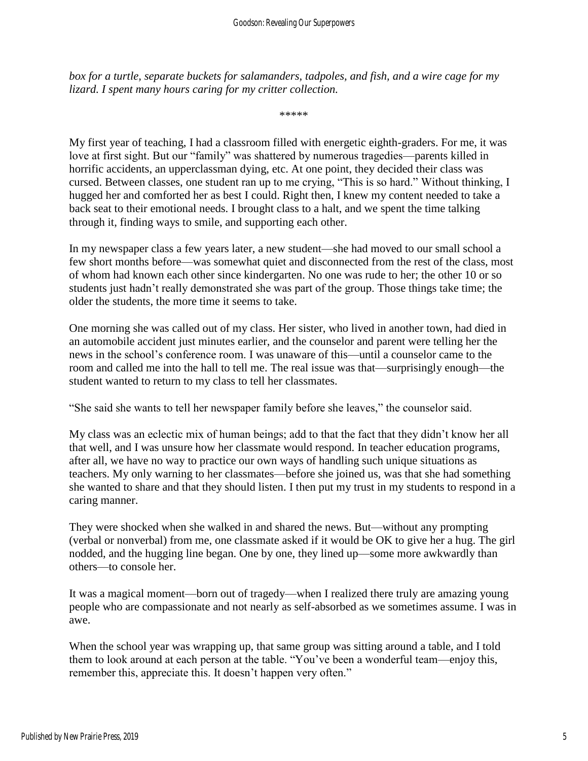*box for a turtle, separate buckets for salamanders, tadpoles, and fish, and a wire cage for my lizard. I spent many hours caring for my critter collection.*

\*\*\*\*\*

My first year of teaching, I had a classroom filled with energetic eighth-graders. For me, it was love at first sight. But our "family" was shattered by numerous tragedies—parents killed in horrific accidents, an upperclassman dying, etc. At one point, they decided their class was cursed. Between classes, one student ran up to me crying, "This is so hard." Without thinking, I hugged her and comforted her as best I could. Right then, I knew my content needed to take a back seat to their emotional needs. I brought class to a halt, and we spent the time talking through it, finding ways to smile, and supporting each other.

In my newspaper class a few years later, a new student—she had moved to our small school a few short months before—was somewhat quiet and disconnected from the rest of the class, most of whom had known each other since kindergarten. No one was rude to her; the other 10 or so students just hadn't really demonstrated she was part of the group. Those things take time; the older the students, the more time it seems to take.

One morning she was called out of my class. Her sister, who lived in another town, had died in an automobile accident just minutes earlier, and the counselor and parent were telling her the news in the school's conference room. I was unaware of this—until a counselor came to the room and called me into the hall to tell me. The real issue was that—surprisingly enough—the student wanted to return to my class to tell her classmates.

"She said she wants to tell her newspaper family before she leaves," the counselor said.

My class was an eclectic mix of human beings; add to that the fact that they didn't know her all that well, and I was unsure how her classmate would respond. In teacher education programs, after all, we have no way to practice our own ways of handling such unique situations as teachers. My only warning to her classmates—before she joined us, was that she had something she wanted to share and that they should listen. I then put my trust in my students to respond in a caring manner.

They were shocked when she walked in and shared the news. But—without any prompting (verbal or nonverbal) from me, one classmate asked if it would be OK to give her a hug. The girl nodded, and the hugging line began. One by one, they lined up—some more awkwardly than others—to console her.

It was a magical moment—born out of tragedy—when I realized there truly are amazing young people who are compassionate and not nearly as self-absorbed as we sometimes assume. I was in awe.

When the school year was wrapping up, that same group was sitting around a table, and I told them to look around at each person at the table. "You've been a wonderful team—enjoy this, remember this, appreciate this. It doesn't happen very often."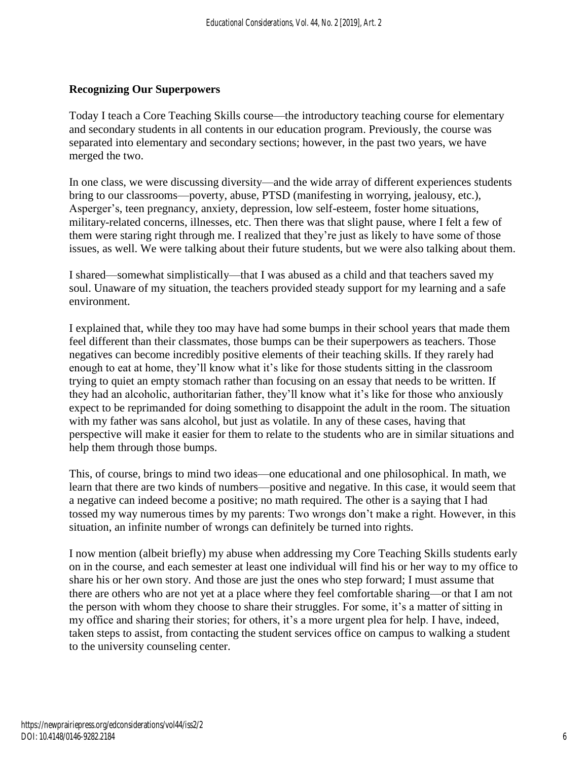#### **Recognizing Our Superpowers**

Today I teach a Core Teaching Skills course—the introductory teaching course for elementary and secondary students in all contents in our education program. Previously, the course was separated into elementary and secondary sections; however, in the past two years, we have merged the two.

In one class, we were discussing diversity—and the wide array of different experiences students bring to our classrooms—poverty, abuse, PTSD (manifesting in worrying, jealousy, etc.), Asperger's, teen pregnancy, anxiety, depression, low self-esteem, foster home situations, military-related concerns, illnesses, etc. Then there was that slight pause, where I felt a few of them were staring right through me. I realized that they're just as likely to have some of those issues, as well. We were talking about their future students, but we were also talking about them.

I shared—somewhat simplistically—that I was abused as a child and that teachers saved my soul. Unaware of my situation, the teachers provided steady support for my learning and a safe environment.

I explained that, while they too may have had some bumps in their school years that made them feel different than their classmates, those bumps can be their superpowers as teachers. Those negatives can become incredibly positive elements of their teaching skills. If they rarely had enough to eat at home, they'll know what it's like for those students sitting in the classroom trying to quiet an empty stomach rather than focusing on an essay that needs to be written. If they had an alcoholic, authoritarian father, they'll know what it's like for those who anxiously expect to be reprimanded for doing something to disappoint the adult in the room. The situation with my father was sans alcohol, but just as volatile. In any of these cases, having that perspective will make it easier for them to relate to the students who are in similar situations and help them through those bumps.

This, of course, brings to mind two ideas—one educational and one philosophical. In math, we learn that there are two kinds of numbers—positive and negative. In this case, it would seem that a negative can indeed become a positive; no math required. The other is a saying that I had tossed my way numerous times by my parents: Two wrongs don't make a right. However, in this situation, an infinite number of wrongs can definitely be turned into rights.

I now mention (albeit briefly) my abuse when addressing my Core Teaching Skills students early on in the course, and each semester at least one individual will find his or her way to my office to share his or her own story. And those are just the ones who step forward; I must assume that there are others who are not yet at a place where they feel comfortable sharing—or that I am not the person with whom they choose to share their struggles. For some, it's a matter of sitting in my office and sharing their stories; for others, it's a more urgent plea for help. I have, indeed, taken steps to assist, from contacting the student services office on campus to walking a student to the university counseling center.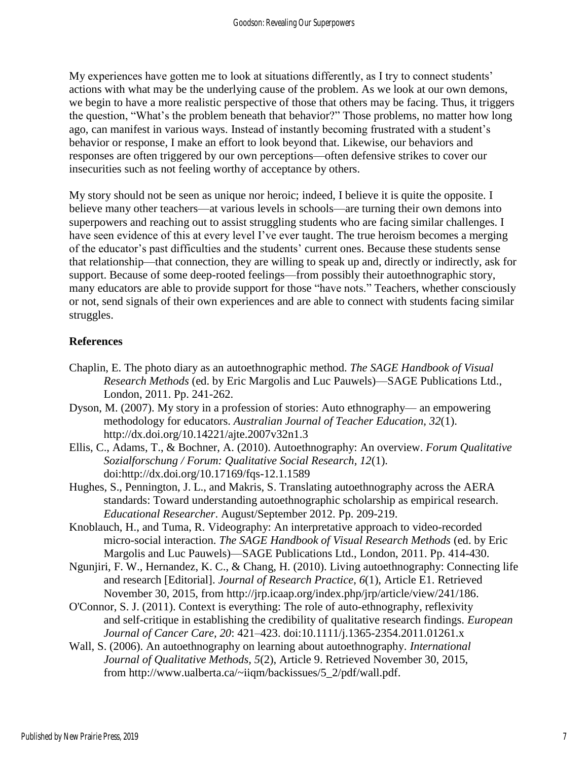My experiences have gotten me to look at situations differently, as I try to connect students' actions with what may be the underlying cause of the problem. As we look at our own demons, we begin to have a more realistic perspective of those that others may be facing. Thus, it triggers the question, "What's the problem beneath that behavior?" Those problems, no matter how long ago, can manifest in various ways. Instead of instantly becoming frustrated with a student's behavior or response, I make an effort to look beyond that. Likewise, our behaviors and responses are often triggered by our own perceptions—often defensive strikes to cover our insecurities such as not feeling worthy of acceptance by others.

My story should not be seen as unique nor heroic; indeed, I believe it is quite the opposite. I believe many other teachers—at various levels in schools—are turning their own demons into superpowers and reaching out to assist struggling students who are facing similar challenges. I have seen evidence of this at every level I've ever taught. The true heroism becomes a merging of the educator's past difficulties and the students' current ones. Because these students sense that relationship—that connection, they are willing to speak up and, directly or indirectly, ask for support. Because of some deep-rooted feelings—from possibly their autoethnographic story, many educators are able to provide support for those "have nots." Teachers, whether consciously or not, send signals of their own experiences and are able to connect with students facing similar struggles.

#### **References**

- Chaplin, E. The photo diary as an autoethnographic method. *The SAGE Handbook of Visual Research Methods* (ed. by Eric Margolis and Luc Pauwels)—SAGE Publications Ltd., London, 2011. Pp. 241-262.
- Dyson, M. (2007). My story in a profession of stories: Auto ethnography— an empowering methodology for educators. *Australian Journal of Teacher Education, 32*(1). <http://dx.doi.org/10.14221/ajte.2007v32n1.3>
- Ellis, C., Adams, T., & Bochner, A. (2010). Autoethnography: An overview. *Forum Qualitative Sozialforschung / Forum: Qualitative Social Research, 12*(1). doi[:http://dx.doi.org/10.17169/fqs-12.1.1589](http://dx.doi.org/10.17169/fqs-12.1.1589)
- Hughes, S., Pennington, J. L., and Makris, S. Translating autoethnography across the AERA standards: Toward understanding autoethnographic scholarship as empirical research. *Educational Researcher*. August/September 2012. Pp. 209-219.
- Knoblauch, H., and Tuma, R. Videography: An interpretative approach to video-recorded micro-social interaction. *The SAGE Handbook of Visual Research Methods* (ed. by Eric Margolis and Luc Pauwels)—SAGE Publications Ltd., London, 2011. Pp. 414-430.
- Ngunjiri, F. W., Hernandez, K. C., & Chang, H. (2010). Living autoethnography: Connecting life and research [Editorial]. *Journal of Research Practice*, *6*(1), Article E1. Retrieved November 30, 2015, from [http://jrp.icaap.org/index.php/jrp/article/view/241/186.](http://jrp.icaap.org/index.php/jrp/article/view/241/186)
- O'Connor, S. J. (2011). Context is everything: The role of auto-ethnography, reflexivity and self-critique in establishing the credibility of qualitative research findings. *European Journal of Cancer Care, 20*: 421–423. doi:10.1111/j.1365-2354.2011.01261.x
- Wall, S. (2006). An autoethnography on learning about autoethnography. *International Journal of Qualitative Methods, 5*(2), Article 9. Retrieved November 30, 2015, from [http://www.ualberta.ca/~iiqm/backissues/5\\_2/pdf/wall.pdf.](http://www.ualberta.ca/~iiqm/backissues/5_2/pdf/wall.pdf)